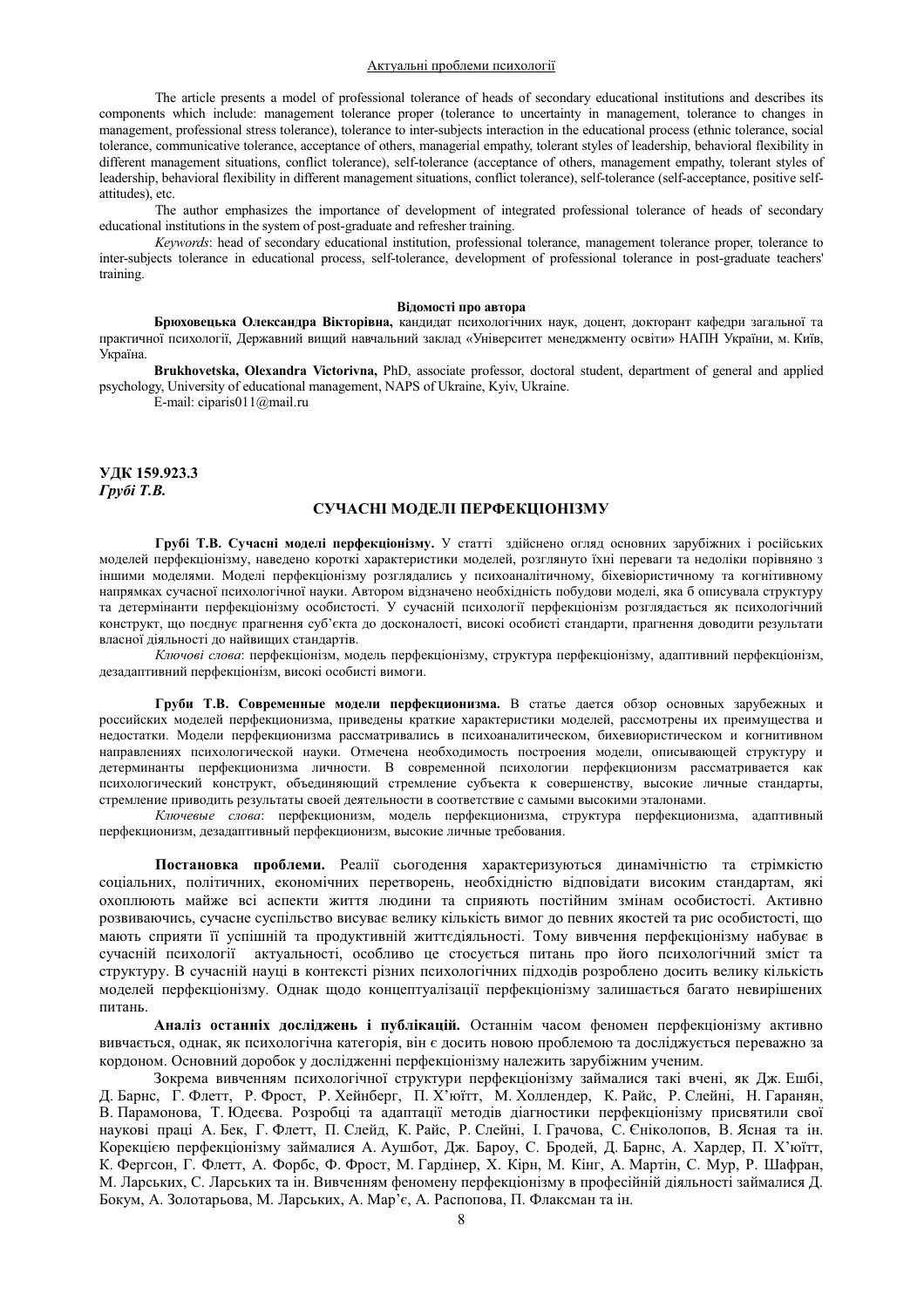### Актуальні проблеми психології

The article presents a model of professional tolerance of heads of secondary educational institutions and describes its components which include: management tolerance proper (tolerance to uncertainty in management, tolerance to changes in management, professional stress tolerance), tolerance to inter-subjects interaction in the educational process (ethnic tolerance, social tolerance, communicative tolerance, acceptance of others, managerial empathy, tolerant styles of leadership, behavioral flexibility in different management situations, conflict tolerance), self-tolerance (acceptance of others, management empathy, tolerant styles of leadership, behavioral flexibility in different management situations, conflict tolerance), self-tolerance (self-acceptance, positive selfattitudes), etc.

The author emphasizes the importance of development of integrated professional tolerance of heads of secondary educational institutions in the system of post-graduate and refresher training.

 *Keywords*: head of secondary educational institution, professional tolerance, management tolerance proper, tolerance to inter-subjects tolerance in educational process, self-tolerance, development of professional tolerance in post-graduate teachers' training.

#### **Віломості про автора**

Брюховецька Олександра Вікторівна, кандидат психологічних наук, доцент, докторант кафедри загальної та практичної психології, Державний вищий навчальний заклад «Університет менеджменту освіти» НАПН України, м. Київ, Україна.

**Brukhovetska, Olexandra Victorivna, PhD, associate professor, doctoral student, department of general and applied** psychology, University of educational management, NAPS of Ukraine, Kyiv, Ukraine.

E-mail: ciparis011@mail.ru

УДК 159.923.3  $Γ$ *py6i T.B.* 

## СУЧАСНІ МОДЕЛІ ПЕРФЕКЦІОНІЗМУ

Грубі Т.В. Сучасні моделі перфекціонізму. У статті здійснено огляд основних зарубіжних і російських моделей перфекціонізму, наведено короткі характеристики моделей, розглянуто їхні переваги та недоліки порівняно з іншими моделями. Моделі перфекціонізму розглядались у психоаналітичному, біхевіористичному та когнітивному напрямках сучасної психологічної науки. Автором відзначено необхідність побудови моделі, яка б описувала структуру та детермінанти перфекціонізму особистості. У сучасній психології перфекціонізм розглядається як психологічний конструкт, що поєднує прагнення суб'єкта до досконалості, високі особисті стандарти, прагнення доводити результати власної діяльності до найвищих стандартів.

Ключові слова: перфекціонізм, модель перфекціонізму, структура перфекціонізму, адаптивний перфекціонізм, дезадаптивний перфекціонізм, високі особисті вимоги.

Груби Т.В. Современные модели перфекционизма. В статье дается обзор основных зарубежных и российских моделей перфекционизма, приведены краткие характеристики моделей, рассмотрены их преимущества и недостатки. Модели перфекционизма рассматривались в психоаналитическом, бихевиористическом и когнитивном направлениях психологической науки. Отмечена необходимость построения модели, описывающей структуру и детерминанты перфекционизма личности. В современной психологии перфекционизм рассматривается как психологический конструкт, объединяющий стремление субъекта к совершенству, высокие личные стандарты, стремление приводить результаты своей деятельности в соответствие с самыми высокими эталонами.

Ключевые слова: перфекционизм, модель перфекционизма, структура перфекционизма, адаптивный перфекционизм, дезадаптивный перфекционизм, высокие личные требования.

Постановка проблеми. Реалії сьогодення характеризуються динамічністю та стрімкістю соціальних, політичних, економічних перетворень, необхідністю відповідати високим стандартам, які охоплюють майже всі аспекти життя людини та сприяють постійним змінам особистості. Активно розвиваючись, сучасне суспільство висуває велику кількість вимог до певних якостей та рис особистості, що мають сприяти її успішній та продуктивній життєдіяльності. Тому вивчення перфекціонізму набуває в сучасній психології актуальності, особливо це стосується питань про його психологічний зміст та структуру. В сучасній науці в контексті різних психологічних підходів розроблено досить велику кількість моделей перфекціонізму. Однак щодо концептуалізації перфекціонізму залишається багато невирішених питань.

Аналіз останніх досліджень і публікацій. Останнім часом феномен перфекціонізму активно вивчається, однак, як психологічна категорія, він є досить новою проблемою та досліджується переважно за кордоном. Основний доробок у дослідженні перфекціонізму належить зарубіжним ученим.

Зокрема вивченням психологічної структури перфекціонізму займалися такі вчені, як Дж. Ешбі, Д. Барнс, Г. Флетт, Р. Фрост, Р. Хейнберг, П. Х'юїтт, М. Холлендер, К. Райс, Р. Слейні, Н. Гаранян, В. Парамонова, Т. Юдеєва. Розробці та адаптації методів діагностики перфекціонізму присвятили свої наукові праці А. Бек, Г. Флетт, П. Слейд, К. Райс, Р. Слейні, І. Грачова, С. Єніколопов, В. Ясная та ін. Корекцією перфекціонізму займалися А. Аушбот, Дж. Бароу, С. Бродей, Д. Барнс, А. Хардер, П. Х'юїтт, К. Фергсон, Г. Флетт, А. Форбс, Ф. Фрост, М. Гардінер, Х. Кірн, М. Кінг, А. Мартін, С. Мур, Р. Шафран, М. Ларських, С. Ларських та ін. Вивченням феномену перфекціонізму в професійній діяльності займалися Д. Бокум, А. Золотарьова, М. Ларських, А. Мар'є, А. Распопова, П. Флаксман та ін.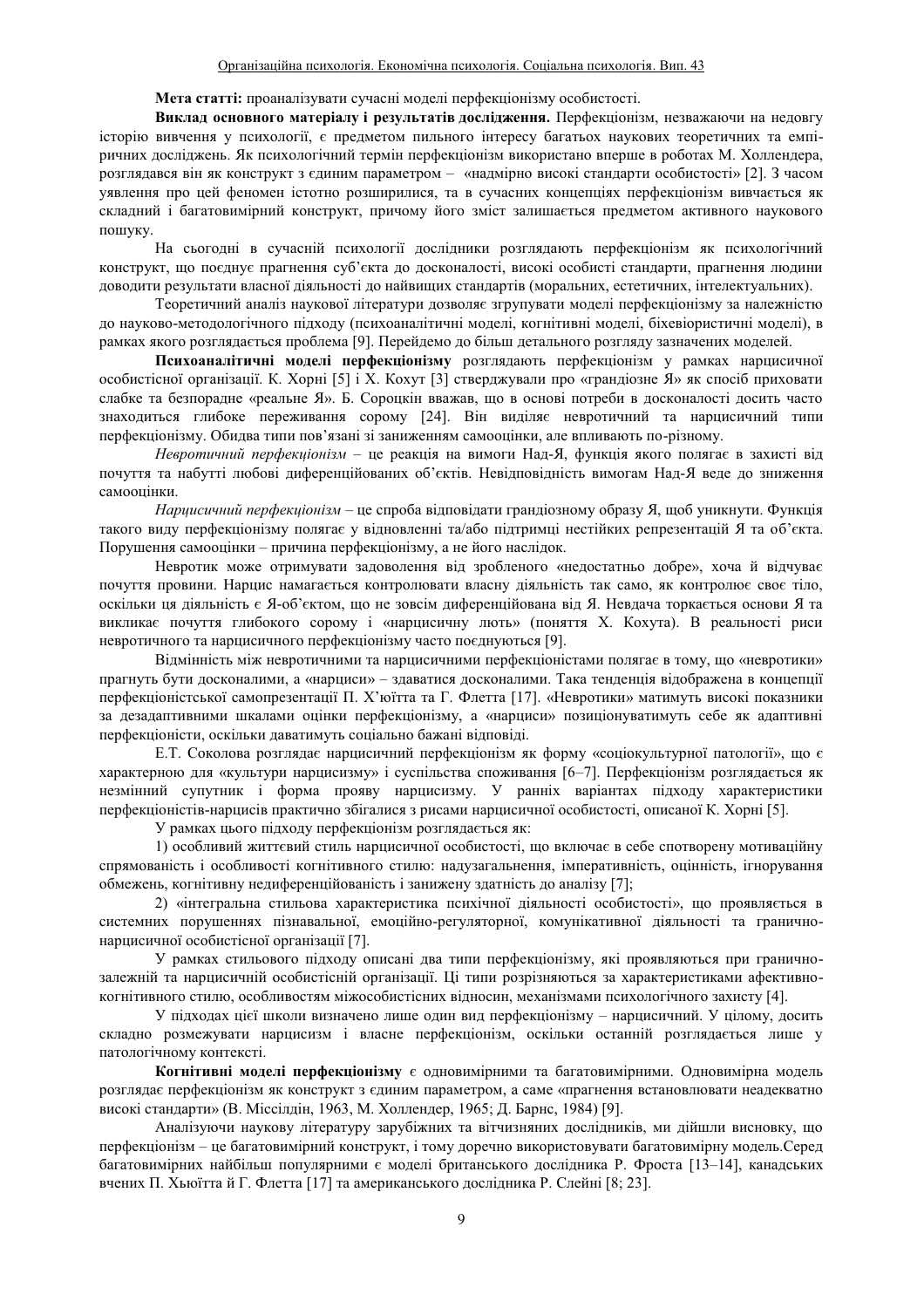## **Мета статті: проаналізувати сучасні моделі перфекціонізму особистості.**

Виклад основного матеріалу і результатів дослідження. Перфекціонізм, незважаючи на недовгу історію вивчення у психології, є предметом пильного інтересу багатьох наукових теоретичних та емпіричних досліджень. Як психологічний термін перфекціонізм використано вперше в роботах М. Холлендера, розглядався він як конструкт з єдиним параметром - «надмірно високі стандарти особистості» [2]. З часом уявлення про цей феномен істотно розширилися, та в сучасних концепціях перфекціонізм вивчається як складний і багатовимірний конструкт, причому його зміст залишається предметом активного наукового пошуку.

На сьогодні в сучасній психології дослідники розглядають перфекціонізм як психологічний конструкт, що поєднує прагнення суб'єкта до досконалості, високі особисті стандарти, прагнення людини доводити результати власної діяльності до найвищих стандартів (моральних, естетичних, інтелектуальних).

Теоретичний аналіз наукової літератури дозволяє згрупувати моделі перфекціонізму за належністю до науково-методологічного підходу (психоаналітичні моделі, когнітивні моделі, біхевіористичні моделі), в рамках якого розглядається проблема [9]. Перейдемо до більш детального розгляду зазначених моделей.

Психоаналітичні моделі перфекціонізму розглядають перфекціонізм у рамках нарцисичної особистісної організації. К. Хорні [5] і Х. Кохут [3] стверджували про «грандіозне Я» як спосіб приховати слабке та безпорадне «реальне Я». Б. Сороцкін вважав, що в основі потреби в досконалості досить часто знаходиться глибоке переживання сорому [24]. Він виділяє невротичний та нарцисичний типи перфекціонізму. Обидва типи пов'язані зі заниженням самооцінки, але впливають по-різному.

*Невротичний перфекиіонізм* – це реакція на вимоги Над-Я, функція якого полягає в захисті від почуття та набутті любові диференційованих об'єктів. Невідповідність вимогам Над-Я веде до зниження самооцінки.

*Нариисичний перфекиіонізм* – не спроба відповідати грандіозному образу Я, щоб уникнути, Функція такого виду перфекціонізму полягає у відновленні та/або підтримці нестійких репрезентацій Я та об'єкта. Порушення самооцінки – причина перфекціонізму, а не його наслідок.

Невротик може отримувати задоволення від зробленого «недостатньо добре», хоча й відчуває почуття провини. Нарцис намагається контролювати власну діяльність так само, як контролює своє тіло, оскільки ця діяльність є Я-об'єктом, що не зовсім диференційована від Я. Невдача торкається основи Я та викликає почуття глибокого сорому і «нарцисичну лють» (поняття X. Кохута). В реальності риси невротичного та нарцисичного перфекціонізму часто поєднуються [9].

Відмінність між невротичними та нарцисичними перфекціоністами полягає в тому, що «невротики» прагнуть бути досконалими, а «нарциси» - здаватися досконалими. Така тенденція відображена в концепції перфекціоністської самопрезентації П. Х'юїтта та Г. Флетта [17]. «Невротики» матимуть високі показники за дезадаптивними шкалами оцінки перфекціонізму, а «нарциси» позиціонуватимуть себе як адаптивні перфекціоністи, оскільки даватимуть соціально бажані відповіді.

Е.Т. Соколова розглядає нарцисичний перфекціонізм як форму «соціокультурної патології», що є характерною для «культури нарцисизму» і суспільства споживання [6-7]. Перфекціонізм розглядається як незмінний супутник і форма прояву нарцисизму. У ранніх варіантах підходу характеристики перфекціоністів-нарцисів практично збігалися з рисами нарцисичної особистості, описаної К. Хорні [5].

У рамках цього підходу перфекціонізм розглядається як:

1) особливий життєвий стиль нарцисичної особистості, що включає в себе спотворену мотиваційну спрямованість і особливості когнітивного стилю: надузагальнення, імперативність, оцінність, ігнорування обмежень, когнітивну недиференційованість і занижену здатність до аналізу [7];

2) «інтегральна стильова характеристика психічної діяльності особистості», що проявляється в системних порушеннях пізнавальної, емоційно-регуляторної, комунікативної діяльності та граничнонарцисичної особистісної організації [7].

У рамках стильового підходу описані два типи перфекціонізму, які проявляються при граничнозалежній та нарцисичній особистісній організації. Ці типи розрізняються за характеристиками афективнокогнітивного стилю, особливостям міжособистісних відносин, механізмами психологічного захисту [4].

У підходах цієї школи визначено лише один вид перфекціонізму – нарцисичний. У цілому, досить складно розмежувати нарцисизм і власне перфекціонізм, оскільки останній розглядається лише у патологічному контексті.

Когнітивні моделі перфекціонізму є одновимірними та багатовимірними. Одновимірна модель розглядає перфекціонізм як конструкт з єдиним параметром, а саме «прагнення встановлювати неадекватно високі стандарти» (В. Міссілдін, 1963, М. Холлендер, 1965; Д. Барнс, 1984) [9].

Аналізуючи наукову літературу зарубіжних та вітчизняних дослідників, ми дійшли висновку, що перфекціонізм – це багатовимірний конструкт, і тому доречно використовувати багатовимірну модель. Серед багатовимірних найбільш популярними є моделі британського дослідника Р. Фроста [13-14], канадських вчених П. Хьюїттай Г. Флетта [17] та американського дослідника Р. Слейні [8; 23].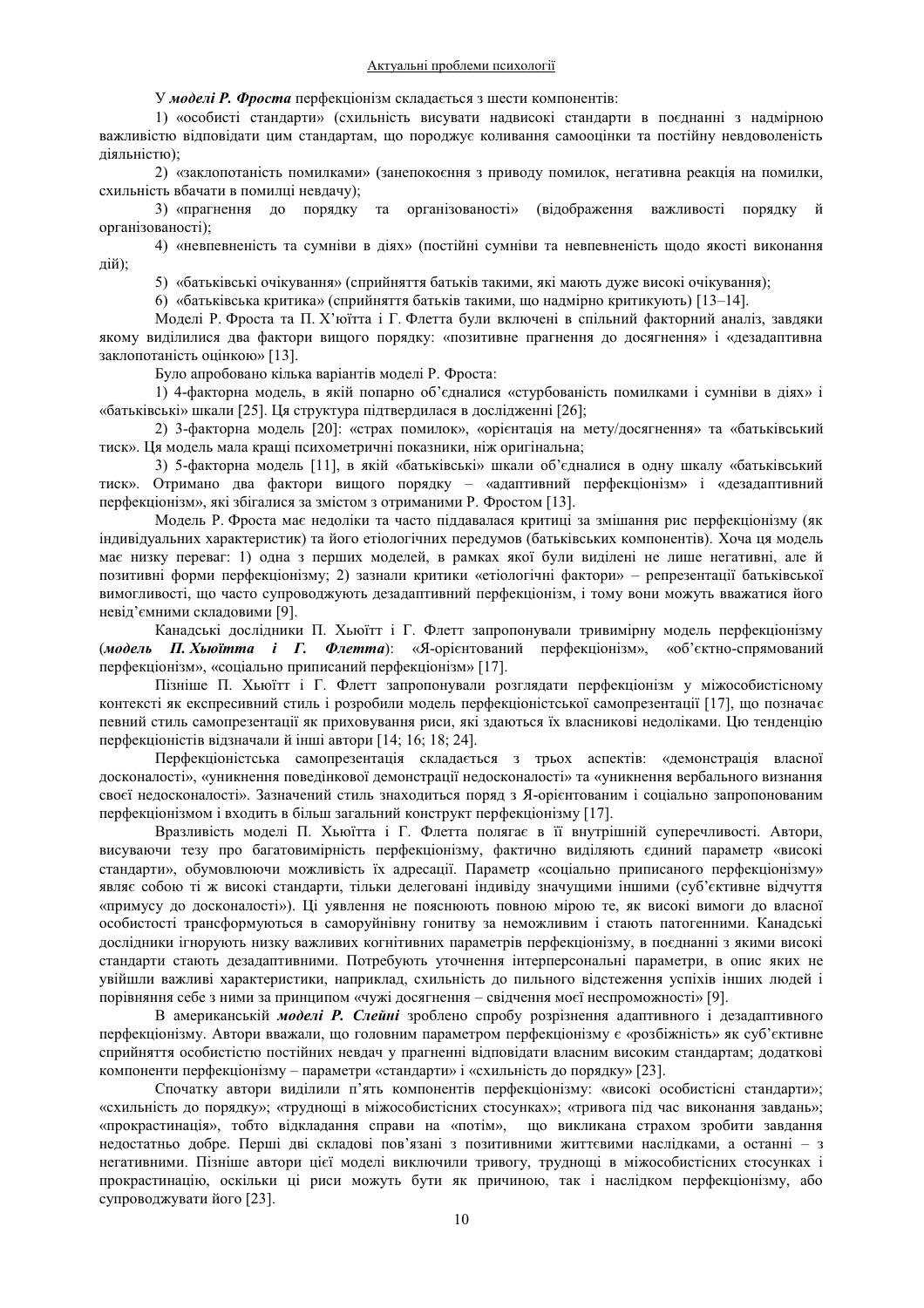У *моделі* Р. Фроста перфекціонізм складається з шести компонентів:

1) «особисті стандарти» (схильність висувати надвисокі стандарти в поєднанні з надмірною важливістю відповідати цим стандартам, що породжує коливання самооцінки та постійну невдоволеність  $\pi$ iяльнiстю):

2) «заклопотаність помилками» (занепокоєння з приводу помилок, негативна реакція на помилки, схильність вбачати в помилці невдачу);

3) «прагнення до порядку та організованості» (відображення важливості порядку й організованості):

4) «невпевненість та сумніви в діях» (постійні сумніви та невпевненість щодо якості виконання дій);

5) «батьківські очікування» (сприйняття батьків такими, які мають дуже високі очікування);

6) «батьківська критика» (сприйняття батьків такими, що надмірно критикують) [13–14].

Моделі Р. Фроста та П. Х'юїтта і Г. Флетта були включені в спільний факторний аналіз, завдяки якому виділилися два фактори вищого порядку: «позитивне прагнення до досягнення» і «дезадаптивна заклопотаність оцінкою» [13].

Було апробовано кілька варіантів моделі Р. Фроста:

1) 4-факторна модель, в якій попарно об'єдналися «стурбованість помилками і сумніви в діях» і «батьківські» шкали [25]. Ця структура підтвердилася в дослідженні [26];

2) 3-факторна модель [20]: «страх помилок», «орієнтація на мету/досягнення» та «батьківський тиск». Ця модель мала кращі психометричні показники, ніж оригінальна;

3) 5-факторна модель [11], в якій «батьківські» шкали об'єдналися в одну шкалу «батьківський тиск». Отримано два фактори вищого порядку - «адаптивний перфекціонізм» і «дезадаптивний перфекціонізм», які збігалися за змістом з отриманими Р. Фростом [13].

Модель Р. Фроста має недоліки та часто піддавалася критиці за змішання рис перфекціонізму (як індивідуальних характеристик) та його етіологічних передумов (батьківських компонентів). Хоча ця модель має низку переваг: 1) одна з перших моделей, в рамках якої були виділені не лише негативні, але й позитивні форми перфекціонізму; 2) зазнали критики «етіологічні фактори» – репрезентації батьківської вимогливості, що часто супроводжують дезадаптивний перфекціонізм, і тому вони можуть вважатися його невід'ємними складовими [9].

Канадські дослідники П. Хьюїтт і Г. Флетт запропонували тривимірну модель перфекціонізму (*модель П. Хьюїтта і Г. Флетта*): «Я-орієнтований перфекціонізм», «об'єктно-спрямований перфекціонізм», «соціально приписаний перфекціонізм» [17].

Пізніше П. Хьюїтт і Г. Флетт запропонували розглядати перфекціонізм у міжособистісному контексті як експресивний стиль і розробили модель перфекціоністської самопрезентації [17], що позначає певний стиль самопрезентації як приховування риси, які здаються їх власникові недоліками. Цю тенденцію перфекціоністів відзначали й інші автори [14; 16; 18; 24].

Перфекціоністська самопрезентація складається з трьох аспектів: «демонстрація власної досконалості», «уникнення поведінкової демонстрації недосконалості» та «уникнення вербального визнання своєї недосконалості». Зазначений стиль знаходиться поряд з Я-орієнтованим і соціально запропонованим перфекціонізмом і входить в більш загальний конструкт перфекціонізму [17].

Вразливість моделі П. Хьюїтта і Г. Флетта полягає в її внутрішній суперечливості. Автори, висуваючи тезу про багатовимірність перфекціонізму, фактично виліляють єлиний параметр «високі стандарти», обумовлюючи можливість їх адресації. Параметр «соціально приписаного перфекціонізму» являє собою ті ж високі стандарти, тільки делеговані індивіду значущими іншими (суб'єктивне відчуття «примусу до досконалості»). Ці уявлення не пояснюють повною мірою те, як високі вимоги до власної особистості трансформуються в саморуйнівну гонитву за неможливим і стають патогенними. Канадські дослідники ігнорують низку важливих когнітивних параметрів перфекціонізму, в поєднанні з якими високі стандарти стають дезадаптивними. Потребують уточнення інтерперсональні параметри, в опис яких не увійшли важливі характеристики, наприклад, схильність до пильного відстеження успіхів інших людей і порівняння себе з ними за принципом «чужі лосягнення – свідчення моєї неспроможності» [9].

В американській моделі Р. Слейні зроблено спробу розрізнення адаптивного і дезадаптивного перфекціонізму. Автори вважали, що головним параметром перфекціонізму є «розбіжність» як суб'єктивне сприйняття особистістю постійних невдач у прагненні відповідати власним високим стандартам; додаткові компоненти перфекціонізму – параметри «стандарти» і «схильність до порядку» [23].

Спочатку автори виділили п'ять компонентів перфекціонізму: «високі особистісні стандарти»; «схильність до порядку»; «труднощі в міжособистісних стосунках»; «тривога під час виконання завдань»; «прокрастинація», тобто відкладання справи на «потім», що викликана страхом зробити завдання недостатньо добре. Перші дві складові пов'язані з позитивними життєвими наслідками, а останні – з негативними. Пізніше автори цієї моделі виключили тривогу, труднощі в міжособистісних стосунках і прокрастинацію, оскільки ці риси можуть бути як причиною, так і наслідком перфекціонізму, або супроводжувати його [23].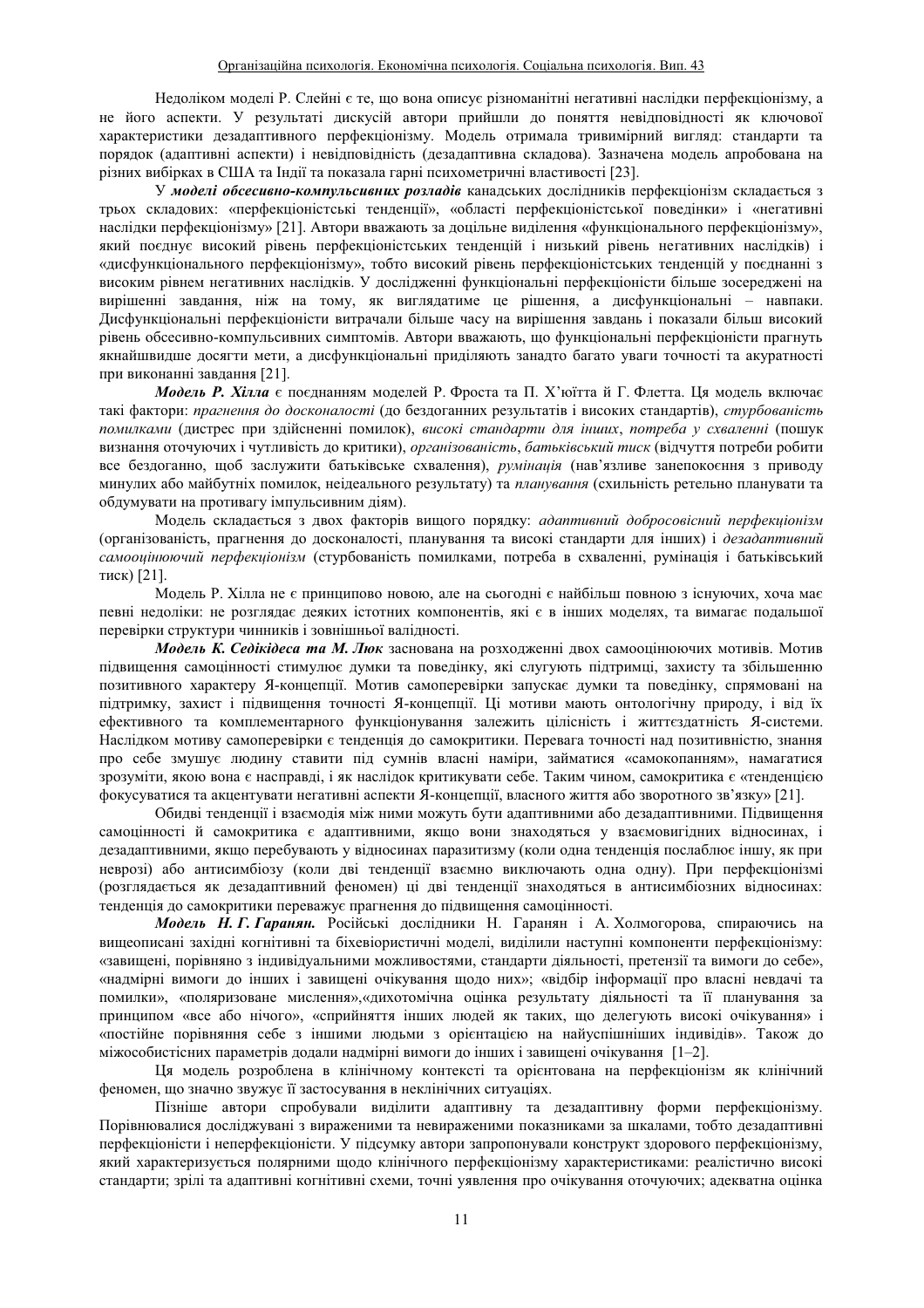Недоліком моделі Р. Слейні є те, що вона описує різноманітні негативні наслідки перфекціонізму, а не його аспекти. У результаті дискусій автори прийшли до поняття невідповідності як ключової характеристики дезадаптивного перфекціонізму. Модель отримала тривимірний вигляд: стандарти та порядок (адаптивні аспекти) і невідповідність (дезадаптивна складова). Зазначена модель апробована на різних вибірках в США та Індії та показала гарні психометричні властивості [23].

У моделі обсесивно-компульсивних розладів канадських дослідників перфекціонізм складається з трьох складових: «перфекціоністські тенденції», «області перфекціоністської поведінки» і «негативні наслідки перфекціонізму» [21]. Автори вважають за доцільне виділення «функціонального перфекціонізму», який поєднує високий рівень перфекціоністських тенденцій і низький рівень негативних наслідків) і «дисфункціонального перфекціонізму», тобто високий рівень перфекціоністських тенденцій у поєднанні з високим рівнем негативних наслідків. У дослідженні функціональні перфекціоністи більше зосереджені на вирішенні завдання, ніж на тому, як виглядатиме це рішення, а дисфункціональні – навпаки. Дисфункціональні перфекціоністи витрачали більше часу на вирішення завдань і показали більш високий рівень обсесивно-компульсивних симптомів. Автори вважають, що функціональні перфекціоністи прагнуть якнайшвидше досягти мети, а дисфункціональні приділяють занадто багато уваги точності та акуратності при виконанні завлання [21].

Модель Р. Хілла є поєднанням моделей Р. Фроста та П. Х'юїтта й Г. Флетта. Ця модель включає такі фактори: прагнення до досконалості (до бездоганних результатів і високих стандартів), стурбованість помилками (дистрес при здійсненні помилок), високі стандарти для інших, потреба у схваленні (пошук визнання оточуючих і чутливість до критики), організованість, батьківський тиск (відчуття потреби робити все бездоганно, щоб заслужити батьківське схвалення), румінація (нав'язливе занепокоєння з приводу минулих або майбутніх помилок, неідеального результату) та планування (схильність ретельно планувати та обдумувати на противагу імпульсивним діям).

Модель складається з двох факторів вищого порядку: адаптивний добросовісний перфекціонізм (організованість, прагнення до досконалості, планування та високі стандарти для інших) і дезадаптивний самооцінюючий перфекціонізм (стурбованість помилками, потреба в схваленні, румінація і батьківський тиск) [21].

Модель Р. Хілла не є принципово новою, але на сьогодні є найбільш повною з існуючих, хоча має певні недоліки: не розглядає деяких істотних компонентів, які є в інших моделях, та вимагає подальшої перевірки структури чинників і зовнішньої валідності.

*Модель К. Седікідеса та М. Люк* заснована на розходженні двох самооцінюючих мотивів. Мотив підвищення самоцінності стимулює думки та поведінку, які слугують підтримці, захисту та збільшенню позитивного характеру Я-концепції. Мотив самоперевірки запускає думки та поведінку, спрямовані на підтримку, захист і підвищення точності Я-концепції. Ці мотиви мають онтологічну природу, і від їх ефективного та комплементарного функціонування залежить цілісність і життєздатність Я-системи. Наслідком мотиву самоперевірки є тенденція до самокритики. Перевага точності над позитивністю, знання про себе змушує людину ставити під сумнів власні наміри, займатися «самокопанням», намагатися зрозуміти, якою вона є насправді, і як наслідок критикувати себе. Таким чином, самокритика є «тенденцією фокусуватися та акцентувати негативні аспекти Я-концепції, власного життя або зворотного зв'язку» [21].

Обидві тенденції і взаємодія між ними можуть бути адаптивними або дезадаптивними. Підвищення самоцінності й самокритика є адаптивними, якщо вони знаходяться у взаємовигідних відносинах, і лезалаптивними, якшо перебувають у вілносинах паразитизму (коли олна тенленція послаблює іншу, як при неврозі) або антисимбіозу (коли дві тенденції взаємно виключають одна одну). При перфекціонізмі (розглядається як дезадаптивний феномен) ці дві тенденції знаходяться в антисимбіозних відносинах: тенденція до самокритики переважує прагнення до підвищення самоцінності.

Модель *Н. Г. Гаранян*. Російські дослідники Н. Гаранян і А. Холмогорова, спираючись на вищеописані західні когнітивні та біхевіористичні моделі, виділили наступні компоненти перфекціонізму: «завищені, порівняно з індивідуальними можливостями, стандарти діяльності, претензії та вимоги до себе», «надмірні вимоги до інших і завищені очікування щодо них»; «відбір інформації про власні невдачі та помилки», «поляризоване мислення», «дихотомічна оцінка результату діяльності та її планування за принципом «все або нічого», «сприйняття інших людей як таких, що делегують високі очікування» і «постійне порівняння себе з іншими людьми з орієнтацією на найуспішніших індивідів». Також до міжособистісних параметрів додали надмірні вимоги до інших і завищені очікування [1–2].

Ця модель розроблена в клінічному контексті та орієнтована на перфекціонізм як клінічний феномен, що значно звужує її застосування в неклінічних ситуаціях.

Пізніше автори спробували виділити адаптивну та дезадаптивну форми перфекціонізму. Порівнювалися досліджувані з вираженими та невираженими показниками за шкалами, тобто дезадаптивні перфекціоністи і неперфекціоністи. У підсумку автори запропонували конструкт здорового перфекціонізму, який характеризується полярними щодо клінічного перфекціонізму характеристиками: реалістично високі стандарти; зрілі та адаптивні когнітивні схеми, точні уявлення про очікування оточуючих; адекватна оцінка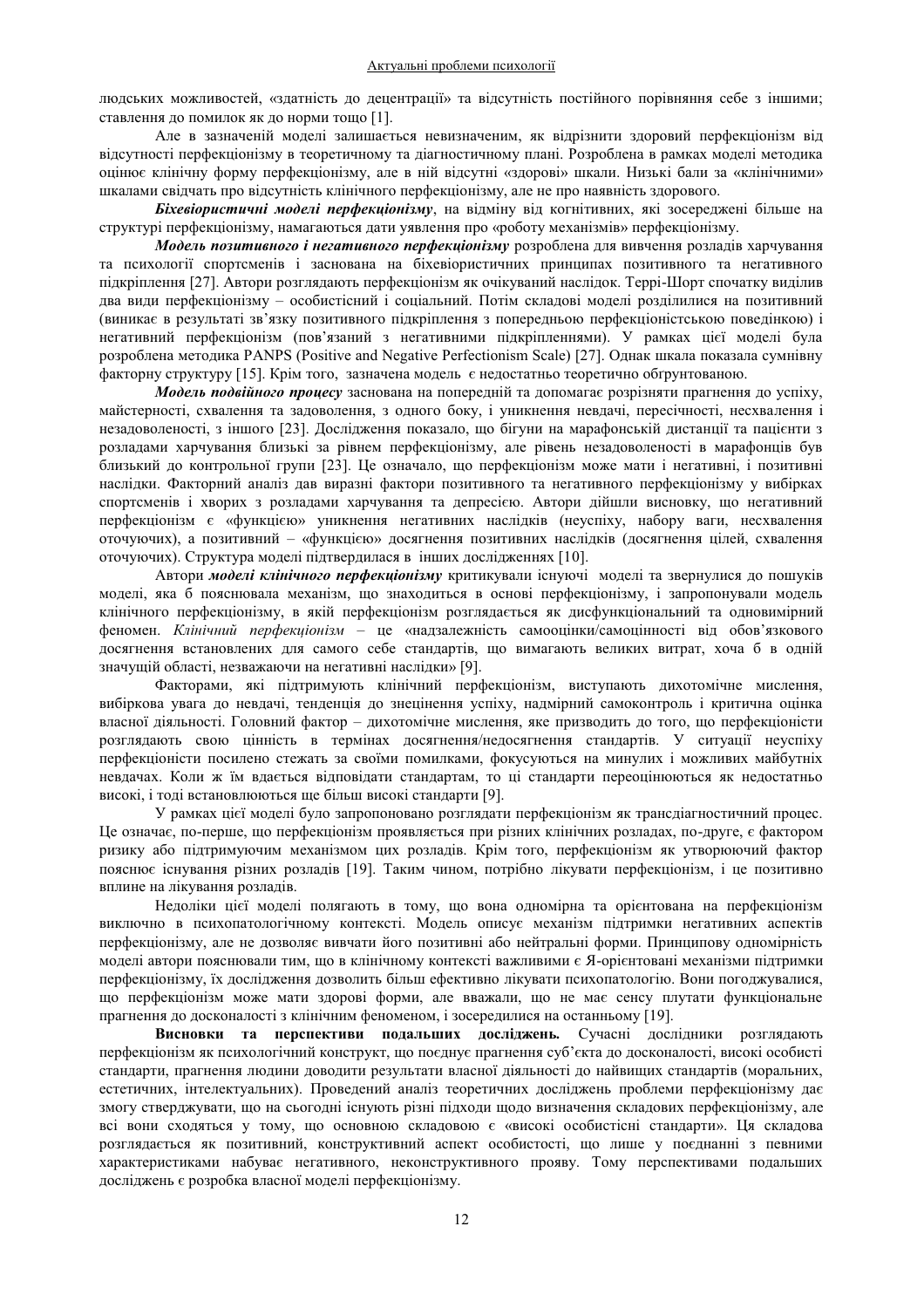людських можливостей, «здатність до децентрації» та відсутність постійного порівняння себе з іншими; ставлення до помилок як до норми тощо [1].

Але в зазначеній моделі залишається невизначеним, як відрізнити здоровий перфекціонізм від відсутності перфекціонізму в теоретичному та діагностичному плані. Розроблена в рамках моделі методика оцінює клінічну форму перфекціонізму, але в ній відсутні «здорові» шкали. Низькі бали за «клінічними» шкалами свідчать про відсутність клінічного перфекціонізму, але не про наявність здорового.

**Біхевіористичні моделі перфекціонізму**, на відміну від когнітивних, які зосереджені більше на структурі перфекціонізму, намагаються дати уявлення про «роботу механізмів» перфекціонізму.

Модель позитивного *і негативного перфекціонізму* розроблена для вивчення розладів харчування та психології спортсменів і заснована на біхевіористичних принципах позитивного та негативного підкріплення [27]. Автори розглядають перфекціонізм як очікуваний наслідок. Террі-Шорт спочатку виділив два види перфекціонізму – особистісний і соціальний. Потім складові моделі розділилися на позитивний (виникає в результаті зв'язку позитивного підкріплення з попередньою перфекціоністською поведінкою) і негативний перфекціонізм (пов'язаний з негативними підкріпленнями). У рамках цієї моделі була розроблена методика PANPS (Positive and Negative Perfectionism Scale) [27]. Однак шкала показала сумнівну факторну структуру [15]. Крім того, зазначена модель є недостатньо теоретично обґрунтованою.

Модель подвійного процесу заснована на попередній та допомагає розрізняти прагнення до успіху, майстерності, схвалення та задоволення, з одного боку, і уникнення невдачі, пересічності, несхвалення і незадоволеності, з іншого [23]. Дослідження показало, що бігуни на марафонській дистанції та пацієнти з розладами харчування близькі за рівнем перфекціонізму, але рівень незадоволеності в марафонців був близький до контрольної групи [23]. Це означало, що перфекціонізм може мати і негативні, і позитивні наслідки. Факторний аналіз дав виразні фактори позитивного та негативного перфекціонізму у вибірках спортсменів і хворих з розладами харчування та депресією. Автори дійшли висновку, що негативний перфекціонізм є «функцією» уникнення негативних наслідків (неуспіху, набору ваги, несхвалення оточуючих), а позитивний - «функцією» досягнення позитивних наслідків (досягнення цілей, схвалення оточуючих). Структура моделі підтвердилася в інших дослідженнях [10].

Автори *моделі клінічного перфекціонізму* критикували існуючі моделі та звернулися до пошуків моделі, яка б пояснювала механізм, що знаходиться в основі перфекціонізму, і запропонували модель клінічного перфекціонізму, в якій перфекціонізм розглядається як дисфункціональний та одновимірний феномен. Клінічний перфекціонізм - це «надзалежність самооцінки/самоцінності від обов'язкового досягнення встановлених для самого себе стандартів, що вимагають великих витрат, хоча б в одній значущій області, незважаючи на негативні наслідки» [9].

Факторами, які підтримують клінічний перфекціонізм, виступають дихотомічне мислення, вибіркова увага до невдачі, тенденція до знецінення успіху, надмірний самоконтроль і критична оцінка власної діяльності. Головний фактор - дихотомічне мислення, яке призводить до того, що перфекціоністи розглядають свою цінність в термінах досягнення/недосягнення стандартів. У ситуації неуспіху перфекціоністи посилено стежать за своїми помилками, фокусуються на минулих і можливих майбутніх невдачах. Коли ж їм вдається відповідати стандартам, то ці стандарти переоцінюються як недостатньо високі, і тоді встановлюються ще більш високі стандарти [9].

У рамках цієї моделі було запропоновано розглядати перфекціонізм як трансдіагностичний процес. Це означає, по-перше, що перфекціонізм проявляється при різних клінічних розладах, по-друге, є фактором ризику або пілтримуючим механізмом цих розлалів. Крім того, перфекціонізм як утворюючий фактор пояснює існування різних розладів [19]. Таким чином, потрібно лікувати перфекціонізм, і це позитивно вплине на лікування розладів.

Недоліки цієї моделі полягають в тому, що вона одномірна та орієнтована на перфекціонізм виключно в психопатологічному контексті. Модель описує механізм підтримки негативних аспектів перфекціонізму, але не дозволяє вивчати його позитивні або нейтральні форми. Принципову одномірність моделі автори пояснювали тим, що в клінічному контексті важливими є Я-орієнтовані механізми підтримки перфекціонізму, їх дослідження дозволить більш ефективно лікувати психопатологію. Вони погоджувалися, що перфекціонізм може мати здорові форми, але вважали, що не має сенсу плутати функціональне прагнення до досконалості з клінічним феноменом, і зосередилися на останньому [19].

Висновки та перспективи подальших досліджень. Сучасні дослідники розглядають перфекціонізм як психологічний конструкт, що поєднує прагнення суб'єкта до досконалості, високі особисті стандарти, прагнення людини доводити результати власної діяльності до найвищих стандартів (моральних, естетичних, інтелектуальних). Проведений аналіз теоретичних досліджень проблеми перфекціонізму дає змогу стверджувати, що на сьогодні існують різні підходи щодо визначення складових перфекціонізму, але всі вони сходяться у тому, що основною складовою є «високі особистісні стандарти». Ця складова розглядається як позитивний, конструктивний аспект особистості, що лише у поєднанні з певними характеристиками набуває негативного, неконструктивного прояву. Тому перспективами подальших досліджень є розробка власної моделі перфекціонізму.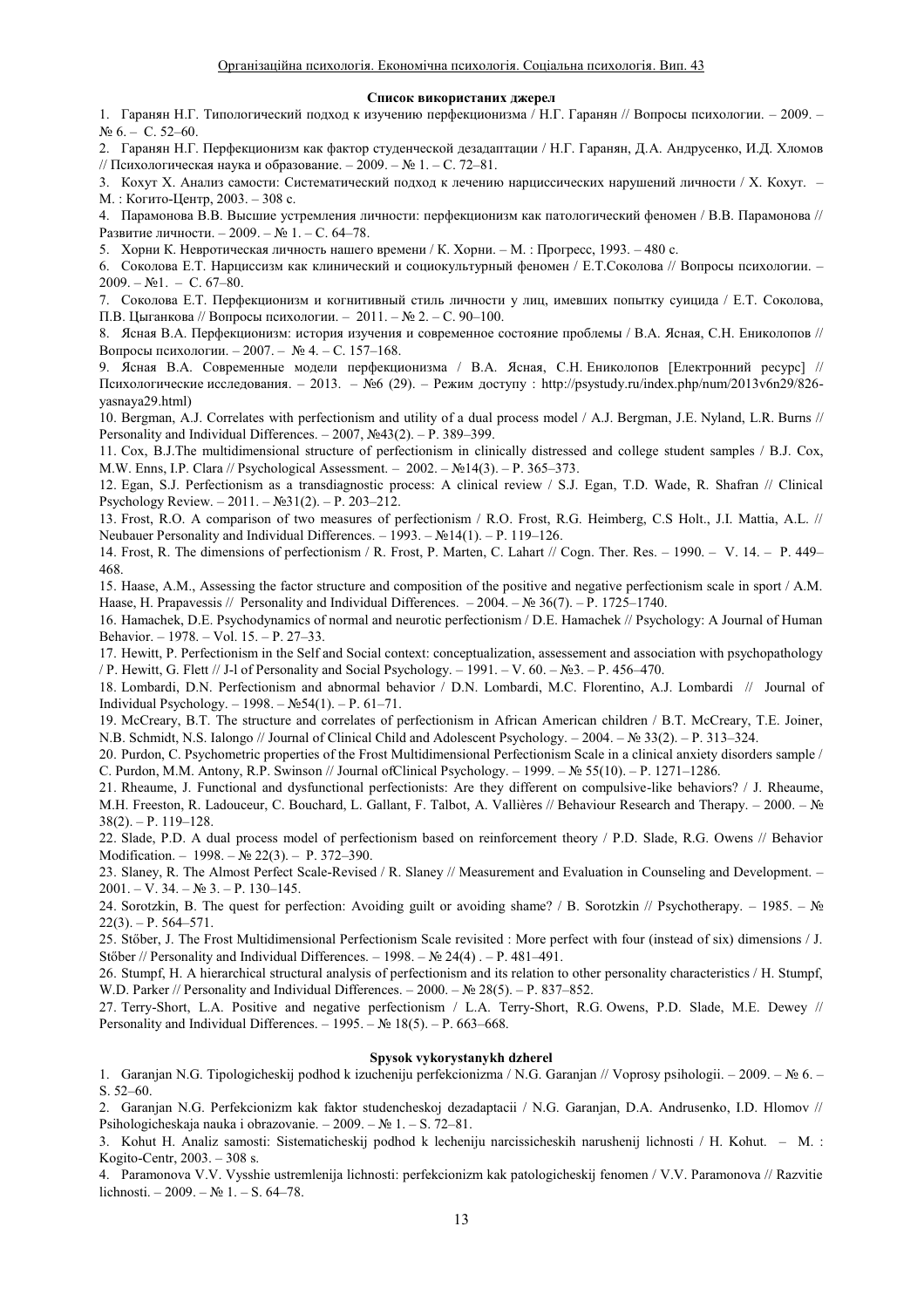#### Список використаних джерел

1. Гаранян Н.Г. Типологический подход к изучению перфекционизма / Н.Г. Гаранян // Вопросы психологии. – 2009. –  $\mathcal{N}$ <sup>o</sup> 6. – C. 52–60.

2. Гаранян Н.Г. Перфекционизм как фактор студенческой дезадаптации / Н.Г. Гаранян, Д.А. Андрусенко, И.Д. Хломов // Психологическая наука и образование.  $-2009$ .  $-$  № 1.  $-$  С. 72–81.

3. Кохут Х. Анализ самости: Систематический подход к лечению нарциссических нарушений личности / Х. Кохут. -М.: Когито-Центр, 2003. - 308 с.

4. Парамонова В.В. Высшие устремления личности: перфекционизм как патологический феномен / В.В. Парамонова // Развитие личности. - 2009. - № 1. - С. 64-78.

5. Хорни К. Невротическая личность нашего времени / К. Хорни. – М.: Прогресс, 1993. – 480 с.

6. Соколова Е.Т. Нарциссизм как клинический и социокультурный феномен / Е.Т.Соколова // Вопросы психологии. - $2009. - N<sub>2</sub>1. - C. 67-80.$ 

7. Соколова Е.Т. Перфекционизм и когнитивный стиль личности у лиц, имевших попытку суицида / Е.Т. Соколова, П.В. Цыганкова // Вопросы психологии. - 2011. - № 2. - С. 90-100.

8. Ясная В.А. Перфекционизм: история изучения и современное состояние проблемы / В.А. Ясная, С.Н. Ениколопов // Вопросы психологии. − 2007. –  $\mathcal{N}_2$  4. – С. 157–168.

9. Ясная В.А. Современные модели перфекционизма / В.А. Ясная, С.Н. Ениколопов [Електронний ресурс] // Психологические исследования. - 2013. - №6 (29). - Режим доступу: http://psystudy.ru/index.php/num/2013v6n29/826yasnaya29.html)

10. Bergman, A.J. Correlates with perfectionism and utility of a dual process model / A.J. Bergman, J.E. Nyland, L.R. Burns // Personality and Individual Differences.  $-2007$ ,  $N\simeq$  43(2).  $-$  P. 389-399.

11. Cox, B.J.The multidimensional structure of perfectionism in clinically distressed and college student samples / B.J. Cox, M.W. Enns, I.P. Clara // Psychological Assessment.  $-2002 - N_214(3) - P. 365-373$ .

12. Egan, S.J. Perfectionism as a transdiagnostic process: A clinical review / S.J. Egan, T.D. Wade, R. Shafran // Clinical Psychology Review.  $-2011$ .  $-\mathcal{N} \leq 31(2)$ .  $-\mathbf{P}$ . 203–212.

13. Frost, R.O. A comparison of two measures of perfectionism / R.O. Frost, R.G. Heimberg, C.S Holt., J.I. Mattia, A.L. // Neubauer Personality and Individual Differences.  $-1993. - N<sub>2</sub>14(1)$ . - P. 119-126.

14. Frost, R. The dimensions of perfectionism / R. Frost, P. Marten, C. Lahart // Cogn. Ther. Res.  $-1990. - V.$  14.  $- P.$  449 $-$ 468.

15. Haase, A.M., Assessing the factor structure and composition of the positive and negative perfectionism scale in sport / A.M. Haase, H. Prapavessis // Personality and Individual Differences.  $-2004$ .  $- N<sub>2</sub> 36(7)$ . - P. 1725-1740.

16. Hamachek, D.E. Psychodynamics of normal and neurotic perfectionism / D.E. Hamachek // Psychology: A Journal of Human Behavior.  $-1978. - Vol. 15. - P. 27-33.$ 

17. Hewitt, P. Perfectionism in the Self and Social context: conceptualization, assessement and association with psychopathology / P. Hewitt, G. Flett // J-l of Personality and Social Psychology.  $-1991$ .  $-V$ . 60.  $-\mathbb{N}23$ .  $-P$ . 456-470.

18. Lombardi, D.N. Perfectionism and abnormal behavior / D.N. Lombardi, M.C. Florentino, A.J. Lombardi // Journal of Individual Psychology.  $- 1998 - N_254(1) - P. 61-71$ .

19. McCreary, B.T. The structure and correlates of perfectionism in African American children / B.T. McCreary, T.E. Joiner, N.B. Schmidt, N.S. Ialongo // Journal of Clinical Child and Adolescent Psychology. −2004. – № 33(2). – P. 313–324.

20. Purdon, C. Psychometric properties of the Frost Multidimensional Perfectionism Scale in a clinical anxiety disorders sample / C. Purdon, M.M. Antony, R.P. Swinson // Journal of Clinical Psychology.  $-1999$ .  $-$  No  $55(10)$ .  $-$  P. 1271–1286.

21. Rheaume, J. Functional and dysfunctional perfectionists: Are they different on compulsive-like behaviors? / J. Rheaume, M.H. Freeston, R. Ladouceur, C. Bouchard, L. Gallant, F. Talbot, A. Vallières // Behaviour Research and Therapy. − 2000. - №  $38(2)$ . - P. 119-128.

22. Slade, P.D. A dual process model of perfectionism based on reinforcement theory / P.D. Slade, R.G. Owens // Behavior Modification.  $-1998. - N_2 22(3) - P. 372-390.$ 

23. Slaney, R. The Almost Perfect Scale-Revised / R. Slaney // Measurement and Evaluation in Counseling and Development. - $2001. - V. 34. - N<sub>2</sub> 3. - P. 130-145.$ 

24. Sorotzkin, B. The quest for perfection: Avoiding guilt or avoiding shame? / B. Sorotzkin // Psychotherapy.  $-1985. - N_2$  $22(3)$ . - P. 564-571.

25. Stőber, J. The Frost Multidimensional Perfectionism Scale revisited : More perfect with four (instead of six) dimensions / J. Stőber // Personality and Individual Differences.  $- 1998$ .  $- \mathcal{N}_2 24(4)$ .  $- P. 481-491$ .

26. Stumpf, H. A hierarchical structural analysis of perfectionism and its relation to other personality characteristics / H. Stumpf, W.D. Parker // Personality and Individual Differences.  $-2000$ .  $-\mathbb{N}\text{e } 28(5)$ .  $-\mathbb{P}$ . 837–852.

27. Terry-Short, L.A. Positive and negative perfectionism / L.A. Terry-Short, R.G. Owens, P.D. Slade, M.E. Dewey // Personality and Individual Differences.  $-1995. - N$ <sup>o</sup> 18(5).  $- P. 663-668.$ 

#### **Spysok vykorystanykh dzherel**

1. Garanjan N.G. Tipologicheskij podhod k izucheniju perfekcionizma / N.G. Garanjan // Voprosy psihologii. − 2009. – № 6. –  $S. 52–60.$ 

2. Garanjan N.G. Perfekcionizm kak faktor studencheskoj dezadaptacii / N.G. Garanjan, D.A. Andrusenko, I.D. Hlomov // Psihologicheskaja nauka i obrazovanie.  $-2009. - N_2 1. - S. 72-81.$ 

3. Kohut H. Analiz samosti: Sistematicheskij podhod k lecheniju narcissicheskih narushenij lichnosti / H. Kohut. – M. : Kogito-Centr,  $2003. - 308$  s.

4. Paramonova V.V. Vysshie ustremlenija lichnosti: perfekcionizm kak patologicheskij fenomen / V.V. Paramonova // Razvitie lichnosti.  $-2009. - N_2 1. - S. 64-78.$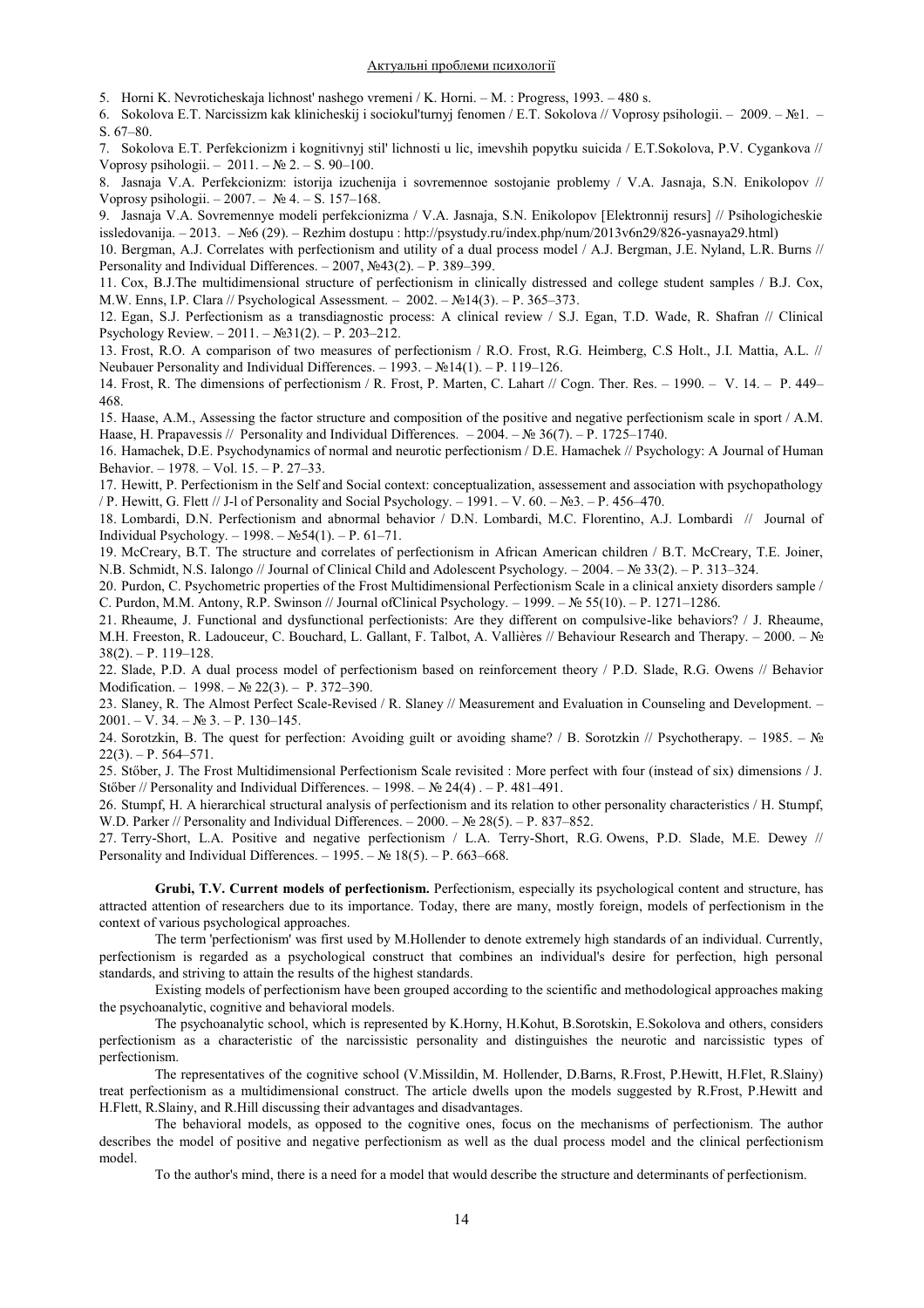5. Horni K. Nevroticheskaja lichnost' nashego vremeni / K. Horni. - M. : Progress, 1993. - 480 s.

6. Sokolova E.T. Narcissizm kak klinicheskij i sociokul'turnyj fenomen / E.T. Sokolova // Voprosy psihologii.  $-2009 - N_21$ .  $-$ S. 67-80.

7. Sokolova E.T. Perfekcionizm i kognitivnyj stil' lichnosti u lic, imevshih popytku suicida / E.T.Sokolova, P.V. Cygankova // Voprosy psihologii.  $-2011$ .  $\mathbb{N}$  2.  $-$  S. 90–100.

8. Jasnaja V.A. Perfekcionizm: istorija izuchenija i sovremennoe sostojanie problemy / V.A. Jasnaja, S.N. Enikolopov // Voprosy psihologii.  $-2007. - N_2 4. - S. 157-168.$ 

9. Jasnaja V.A. Sovremennye modeli perfekcionizma / V.A. Jasnaja, S.N. Enikolopov [Elektronnij resurs] // Psihologicheskie issledovanija. - 2013. - №6 (29). - Rezhim dostupu : http://psystudy.ru/index.php/num/2013v6n29/826-yasnaya29.html)

10. Bergman, A.J. Correlates with perfectionism and utility of a dual process model / A.J. Bergman, J.E. Nyland, L.R. Burns // Personality and Individual Differences.  $-2007$ ,  $\mathcal{N}_2$ 43(2).  $-$  P. 389–399.

11. Cox, B.J.The multidimensional structure of perfectionism in clinically distressed and college student samples / B.J. Cox, M.W. Enns, I.P. Clara // Psychological Assessment.  $-2002 - N \cdot 14(3) - P$ . 365-373.

12. Egan, S.J. Perfectionism as a transdiagnostic process: A clinical review / S.J. Egan, T.D. Wade, R. Shafran // Clinical Psychology Review.  $-2011$ .  $-\mathcal{N} \leq 31(2)$ .  $-$  P. 203–212.

13. Frost, R.O. A comparison of two measures of perfectionism / R.O. Frost, R.G. Heimberg, C.S Holt., J.I. Mattia, A.L. // Neubauer Personality and Individual Differences.  $- 1993. - N \ge 14(1) - P$ . 119-126.

14. Frost, R. The dimensions of perfectionism / R. Frost, P. Marten, C. Lahart // Cogn. Ther. Res.  $-1990. - V.$  14.  $- P. 449-$ 468.

15. Haase, A.M., Assessing the factor structure and composition of the positive and negative perfectionism scale in sport / A.M. Haase, H. Prapavessis // Personality and Individual Differences.  $-2004$ .  $-\mathbb{N}$  36(7).  $-\mathbb{P}$ . 1725–1740.

16. Hamachek, D.E. Psychodynamics of normal and neurotic perfectionism / D.E. Hamachek // Psychology: A Journal of Human Behavior. - 1978. - Vol. 15. - P. 27-33.

17. Hewitt, P. Perfectionism in the Self and Social context: conceptualization, assessement and association with psychopathology / P. Hewitt, G. Flett // J-l of Personality and Social Psychology.  $-1991. -V. 60. -N<sub>23</sub>. -P. 456-470.$ 

18. Lombardi, D.N. Perfectionism and abnormal behavior / D.N. Lombardi, M.C. Florentino, A.J. Lombardi // Journal of Individual Psychology.  $- 1998 - N_254(1) - P. 61-71$ .

19. McCreary, B.T. The structure and correlates of perfectionism in African American children / B.T. McCreary, T.E. Joiner, N.B. Schmidt, N.S. Ialongo // Journal of Clinical Child and Adolescent Psychology. - 2004. – № 33(2). – P. 313–324.

20. Purdon, C. Psychometric properties of the Frost Multidimensional Perfectionism Scale in a clinical anxiety disorders sample / C. Purdon, M.M. Antony, R.P. Swinson // Journal of Clinical Psychology.  $-1999$ .  $-\mathcal{N}_2$  55(10).  $-\mathcal{P}$ . 1271-1286.

21. Rheaume, J. Functional and dysfunctional perfectionists: Are they different on compulsive-like behaviors? / J. Rheaume, M.H. Freeston, R. Ladouceur, C. Bouchard, L. Gallant, F. Talbot, A. Vallières // Behaviour Research and Therapy. − 2000. - №  $38(2)$ . - P. 119-128.

22. Slade, P.D. A dual process model of perfectionism based on reinforcement theory / P.D. Slade, R.G. Owens // Behavior Modification.  $-1998. - N<sub>2</sub> 22(3). - P. 372-390.$ 

23. Slaney, R. The Almost Perfect Scale-Revised / R. Slaney // Measurement and Evaluation in Counseling and Development. - $2001. - V. 34. - N<sub>2</sub> 3. - P. 130-145.$ 

24. Sorotzkin, B. The quest for perfection: Avoiding guilt or avoiding shame? / B. Sorotzkin // Psychotherapy.  $-1985. - N$ <sup>o</sup>  $22(3)$ . - P. 564-571.

25. Stőber, J. The Frost Multidimensional Perfectionism Scale revisited : More perfect with four (instead of six) dimensions / J. Stőber // Personality and Individual Differences.  $-1998. - N<sub>2</sub> 24(4)$ .  $- P. 481-491.$ 

26. Stumpf, H. A hierarchical structural analysis of perfectionism and its relation to other personality characteristics / H. Stumpf, W.D. Parker // Personality and Individual Differences.  $-2000$ .  $-\mathbb{N}$  28(5).  $-\mathbb{P}$ . 837-852.

27. Terry-Short, L.A. Positive and negative perfectionism / L.A. Terry-Short, R.G. Owens, P.D. Slade, M.E. Dewey // Personality and Individual Differences.  $-1995. - N$ <sup>2</sup> 18(5).  $-$  P. 663–668.

**Grubi, T.V. Current models of perfectionism.** Perfectionism, especially its psychological content and structure, has attracted attention of researchers due to its importance. Today, there are many, mostly foreign, models of perfectionism in the context of various psychological approaches.

The term 'perfectionism' was first used by M.Hollender to denote extremely high standards of an individual. Currently, perfectionism is regarded as a psychological construct that combines an individual's desire for perfection, high personal standards, and striving to attain the results of the highest standards.

Existing models of perfectionism have been grouped according to the scientific and methodological approaches making the psychoanalytic, cognitive and behavioral models.

The psychoanalytic school, which is represented by K.Horny, H.Kohut, B.Sorotskin, E.Sokolova and others, considers perfectionism as a characteristic of the narcissistic personality and distinguishes the neurotic and narcissistic types of perfectionism.

The representatives of the cognitive school (V.Missildin, M. Hollender, D.Barns, R.Frost, P.Hewitt, H.Flet, R.Slainy) treat perfectionism as a multidimensional construct. The article dwells upon the models suggested by R.Frost, P.Hewitt and H.Flett, R.Slainy, and R.Hill discussing their advantages and disadvantages.

The behavioral models, as opposed to the cognitive ones, focus on the mechanisms of perfectionism. The author describes the model of positive and negative perfectionism as well as the dual process model and the clinical perfectionism model.

To the author's mind, there is a need for a model that would describe the structure and determinants of perfectionism.